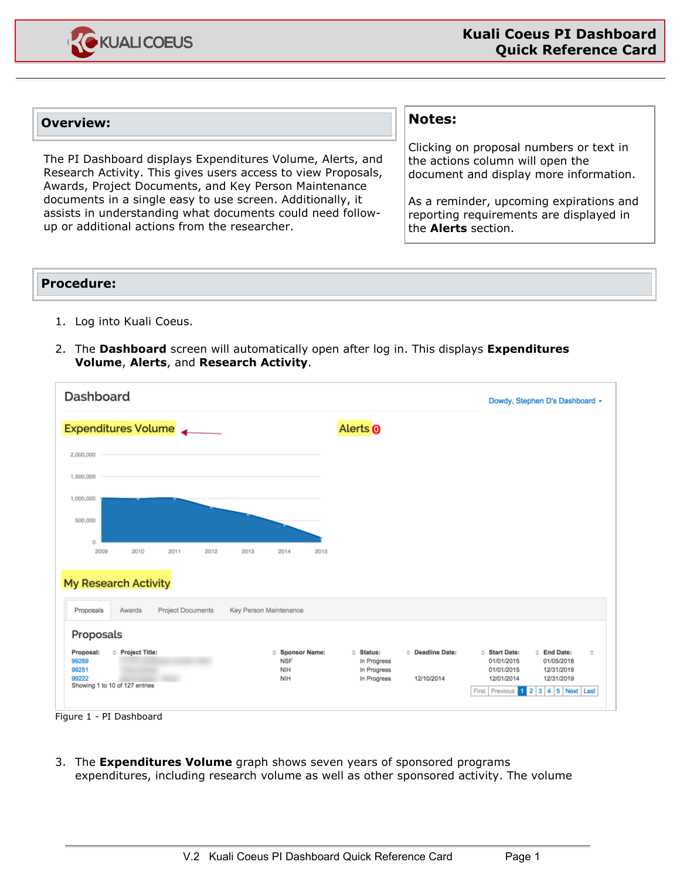

## **Overview:**

The PI Dashboard displays Expenditures Volume, Alerts, and Research Activity. This gives users access to view Proposals, Awards, Project Documents, and Key Person Maintenance documents in a single easy to use screen. Additionally, it assists in understanding what documents could need followup or additional actions from the researcher.

## **Notes:**

Clicking on proposal numbers or text in the actions column will open the document and display more information.

As a reminder, upcoming expirations and reporting requirements are displayed in the **Alerts** section.

## **Procedure:**

- 1. Log into Kuali Coeus.
- 2. The **Dashboard** screen will automatically open after log in. This displays **Expenditures Volume**, **Alerts**, and **Research Activity**.

| Dashboard                                                                                       |                                                  |                                                                                                      | Dowdy, Stephen D's Dashboard -                                                                                                                                               |
|-------------------------------------------------------------------------------------------------|--------------------------------------------------|------------------------------------------------------------------------------------------------------|------------------------------------------------------------------------------------------------------------------------------------------------------------------------------|
| <b>Expenditures Volume</b>                                                                      |                                                  | Alerts <sub>0</sub>                                                                                  |                                                                                                                                                                              |
| 2,000,000                                                                                       |                                                  |                                                                                                      |                                                                                                                                                                              |
| 1,500,000                                                                                       |                                                  |                                                                                                      |                                                                                                                                                                              |
| 1,000,000                                                                                       |                                                  |                                                                                                      |                                                                                                                                                                              |
| 500,000<br>Ü                                                                                    |                                                  |                                                                                                      |                                                                                                                                                                              |
| 2009<br>2010<br>2011<br>2012<br>2013                                                            | 2014<br>2015                                     |                                                                                                      |                                                                                                                                                                              |
| <b>My Research Activity</b>                                                                     |                                                  |                                                                                                      |                                                                                                                                                                              |
| Project Documents<br>Proposals<br>Awards                                                        | Key Person Maintenance                           |                                                                                                      |                                                                                                                                                                              |
| Proposals                                                                                       |                                                  |                                                                                                      |                                                                                                                                                                              |
| <b>Project Title:</b><br>Proposal:<br>99269<br>99251<br>99222<br>Showing 1 to 10 of 127 entries | <b>Sponsor Name:</b><br><b>NSF</b><br>NIH<br>NIH | <b>C</b> Deadline Date:<br><b>Status:</b><br>In Progress<br>In Progress<br>In Progress<br>12/10/2014 | <b>Start Date:</b><br><b>C</b> End Date:<br>٠<br>01/01/2015<br>01/05/2018<br>01/01/2015<br>12/31/2019<br>12/01/2014<br>12/31/2019<br>$1$ 2 3 4 5 Next Last<br>First Previous |

Figure 1 - PI Dashboard

3. The **Expenditures Volume** graph shows seven years of sponsored programs expenditures, including research volume as well as other sponsored activity. The volume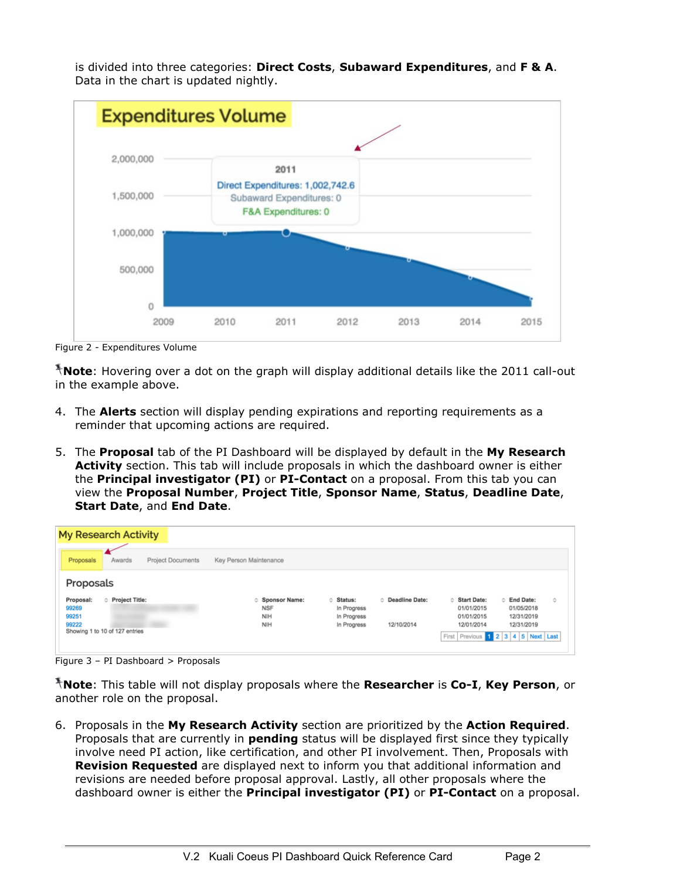

is divided into three categories: **Direct Costs**, **Subaward Expenditures**, and **F & A**. Data in the chart is updated nightly.

Figure 2 - Expenditures Volume

**Note**: Hovering over a dot on the graph will display additional details like the 2011 call-out in the example above.

- 4. The **Alerts** section will display pending expirations and reporting requirements as a reminder that upcoming actions are required.
- 5. The **Proposal** tab of the PI Dashboard will be displayed by default in the **My Research Activity** section. This tab will include proposals in which the dashboard owner is either the **Principal investigator (PI)** or **PI-Contact** on a proposal. From this tab you can view the **Proposal Number**, **Project Title**, **Sponsor Name**, **Status**, **Deadline Date**, **Start Date**, and **End Date**.

| <b>My Research Activity</b>                                                                       |                                                         |                                                        |                                       |                                                                                                    |                                                       |    |  |  |  |  |
|---------------------------------------------------------------------------------------------------|---------------------------------------------------------|--------------------------------------------------------|---------------------------------------|----------------------------------------------------------------------------------------------------|-------------------------------------------------------|----|--|--|--|--|
| <b>Project Documents</b><br>Proposals<br>Awards                                                   | Key Person Maintenance                                  |                                                        |                                       |                                                                                                    |                                                       |    |  |  |  |  |
| Proposals                                                                                         |                                                         |                                                        |                                       |                                                                                                    |                                                       |    |  |  |  |  |
| Proposal:<br><b>C</b> Project Title:<br>99269<br>99251<br>99222<br>Showing 1 to 10 of 127 entries | <b>Sponsor Name:</b><br><b>NSF</b><br><b>NIH</b><br>NIH | ○ Status:<br>In Progress<br>In Progress<br>In Progress | <b>C</b> Deadline Date:<br>12/10/2014 | <b>Start Date:</b><br>01/01/2015<br>01/01/2015<br>12/01/2014<br>First Previous 1 2 3 4 5 Next Last | ○ End Date:<br>01/05/2018<br>12/31/2019<br>12/31/2019 | Ô. |  |  |  |  |

Figure 3 – PI Dashboard > Proposals

**Note**: This table will not display proposals where the **Researcher** is **Co-I**, **Key Person**, or another role on the proposal.

6. Proposals in the **My Research Activity** section are prioritized by the **Action Required**. Proposals that are currently in **pending** status will be displayed first since they typically involve need PI action, like certification, and other PI involvement. Then, Proposals with **Revision Requested** are displayed next to inform you that additional information and revisions are needed before proposal approval. Lastly, all other proposals where the dashboard owner is either the **Principal investigator (PI)** or **PI-Contact** on a proposal.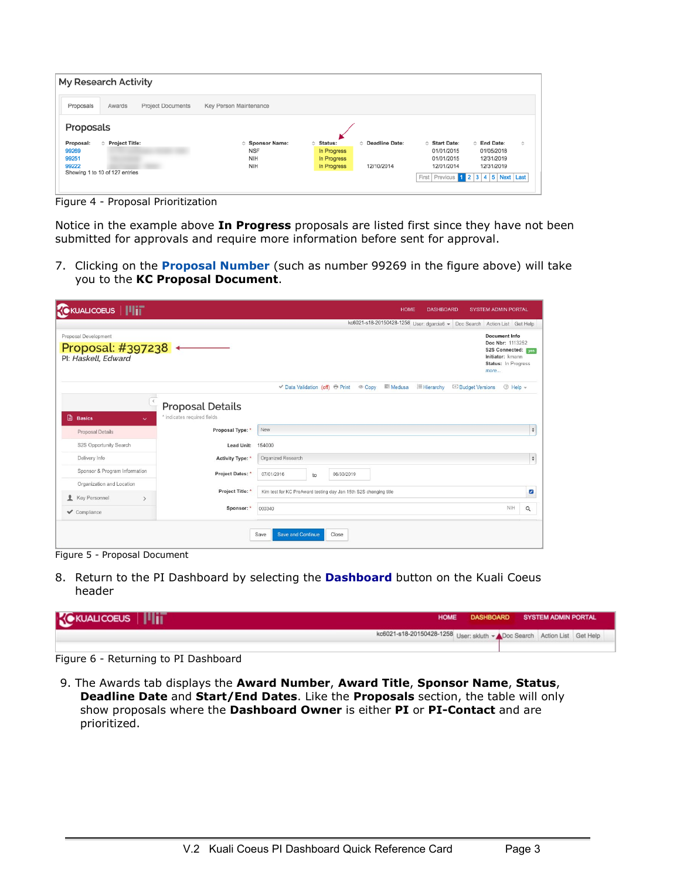| My Research Activity                            |                        |                                         |                                        |  |  |  |  |  |
|-------------------------------------------------|------------------------|-----------------------------------------|----------------------------------------|--|--|--|--|--|
| Proposals<br><b>Project Documents</b><br>Awards | Key Person Maintenance |                                         |                                        |  |  |  |  |  |
| Proposals                                       |                        |                                         |                                        |  |  |  |  |  |
| <b>C</b> Project Title:<br>Proposal:            | <b>Sponsor Name:</b>   | <b>C</b> Deadline Date:<br>Status:<br>ó | ○ End Date:<br>Ò<br><b>Start Date:</b> |  |  |  |  |  |
| 99269                                           | <b>NSF</b>             | In Progress                             | 01/01/2015<br>01/05/2018               |  |  |  |  |  |
| 99251                                           | NIH                    | In Progress                             | 01/01/2015<br>12/31/2019               |  |  |  |  |  |
| 99222                                           | <b>NIH</b>             | In Progress<br>12/10/2014               | 12/31/2019<br>12/01/2014               |  |  |  |  |  |
| Showing 1 to 10 of 127 entries                  |                        |                                         | First Previous 1 2 3 4 5 Next Last     |  |  |  |  |  |
|                                                 |                        |                                         |                                        |  |  |  |  |  |
|                                                 |                        |                                         |                                        |  |  |  |  |  |

Figure 4 - Proposal Prioritization

Notice in the example above **In Progress** proposals are listed first since they have not been submitted for approvals and require more information before sent for approval.

7. Clicking on the **Proposal Number** (such as number 99269 in the figure above) will take you to the **KC Proposal Document**.

| Proposal: #397238 + | kc6021-s18-20150428-1258 User: dgarcia6 - Doc Search Action List Get Help<br><b>Document Info</b><br>Doc Nbr: 1113252                        |                          |
|---------------------|----------------------------------------------------------------------------------------------------------------------------------------------|--------------------------|
|                     |                                                                                                                                              |                          |
|                     | S2S Connected: ves<br>Initiator: kmann<br>Status: In Progress<br>more                                                                        |                          |
|                     | <b>E</b> Hierarchy<br><b>Medusa</b><br>2 Help –<br><b>V</b> Data Validation (off) <b><sup>●</sup></b> Print © Copy<br><b>Budget Versions</b> |                          |
|                     |                                                                                                                                              |                          |
|                     |                                                                                                                                              |                          |
| Proposal Type: *    | New                                                                                                                                          | $\frac{4}{7}$            |
| Lead Unit:          | 154000                                                                                                                                       |                          |
| Activity Type: *    | Organized Research                                                                                                                           | $\frac{\Delta}{2}$       |
| Project Dates: *    | 07/01/2016<br>06/30/2019<br>to                                                                                                               |                          |
|                     |                                                                                                                                              |                          |
| Project Title:      | Kim test for KC PreAward testing day Jan 15th S2S changing title                                                                             | $\overline{\mathscr{E}}$ |
| Sponsor: *          | NIH<br>000340                                                                                                                                | $\alpha$                 |
|                     | <b>Proposal Details</b><br>* indicates required fields                                                                                       |                          |

Figure 5 - Proposal Document

8. Return to the PI Dashboard by selecting the **Dashboard** button on the Kuali Coeus header

| <b>KOKUALICOEUS              </b> |                                                                         | HOME DASHBOARD SYSTEM ADMIN PORTAL |  |  |
|-----------------------------------|-------------------------------------------------------------------------|------------------------------------|--|--|
|                                   | kc6021-s18-20150428-1258 User: skluth - Doc Search Action List Get Help |                                    |  |  |
|                                   |                                                                         |                                    |  |  |

Figure 6 - Returning to PI Dashboard

9. The Awards tab displays the **Award Number**, **Award Title**, **Sponsor Name**, **Status**, **Deadline Date** and **Start/End Dates**. Like the **Proposals** section, the table will only show proposals where the **Dashboard Owner** is either **PI** or **PI-Contact** and are prioritized.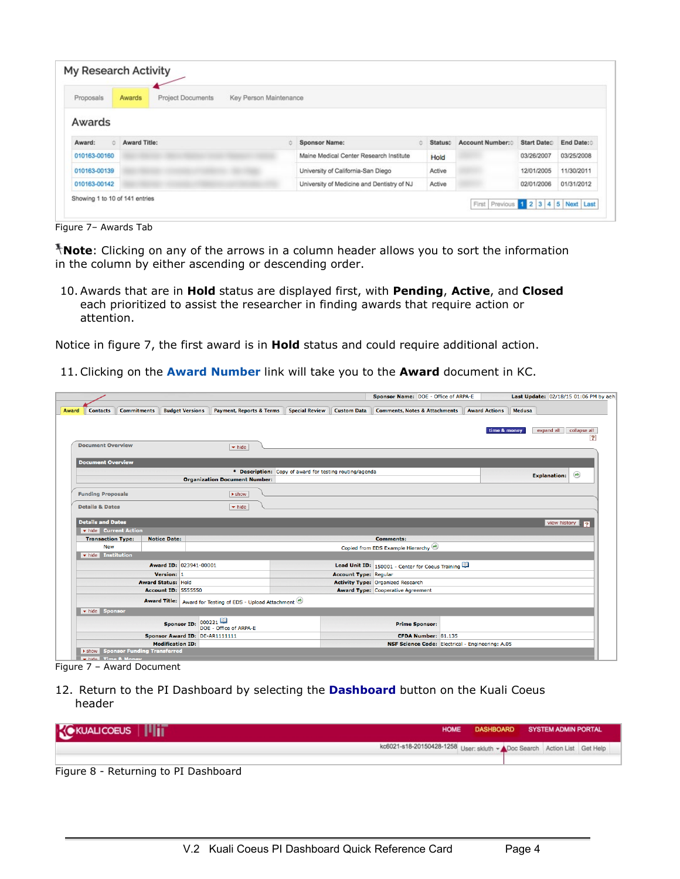| Proposals         | Awards              | Project Documents | Key Person Maintenance |                                            |         |                 |             |            |
|-------------------|---------------------|-------------------|------------------------|--------------------------------------------|---------|-----------------|-------------|------------|
| Awards            |                     |                   |                        |                                            |         |                 |             |            |
| $\circ$<br>Award: | <b>Award Title:</b> |                   | ò.                     | <b>Sponsor Name:</b>                       | Status: | Account Number: | Start Date: | End Date:  |
| 010163-00160      |                     |                   |                        | Maine Medical Center Research Institute    | Hold    |                 | 03/26/2007  | 03/25/2008 |
| 010163-00139      |                     |                   |                        | University of California-San Diego         | Active  |                 | 12/01/2005  | 11/30/2011 |
| 010163-00142      |                     |                   |                        | University of Medicine and Dentistry of NJ | Active  |                 | 02/01/2006  | 01/31/2012 |

Figure 7– Awards Tab

**Note**: Clicking on any of the arrows in a column header allows you to sort the information in the column by either ascending or descending order.

10. Awards that are in **Hold** status are displayed first, with **Pending**, **Active**, and **Closed**  each prioritized to assist the researcher in finding awards that require action or attention.

Notice in figure 7, the first award is in **Hold** status and could require additional action.

11. Clicking on the **Award Number** link will take you to the **Award** document in KC.

|                                                         |                                                               |                                                         | Sponsor Name: DOE - Office of ARPA-E             |                                                  | Last Update: 02/18/15 01:06 PM by aeh      |
|---------------------------------------------------------|---------------------------------------------------------------|---------------------------------------------------------|--------------------------------------------------|--------------------------------------------------|--------------------------------------------|
| <b>Commitments</b><br><b>Contacts</b><br>Award          | <b>Budget Versions</b><br><b>Payment, Reports &amp; Terms</b> | <b>Special Review</b><br><b>Custom Data</b>             | <b>Comments, Notes &amp; Attachments</b>         | <b>Award Actions</b>                             | Medusa                                     |
|                                                         |                                                               |                                                         |                                                  |                                                  |                                            |
|                                                         |                                                               |                                                         |                                                  |                                                  | expand all<br>collapse all<br>time & money |
|                                                         |                                                               |                                                         |                                                  |                                                  | 2                                          |
| <b>Document Overview</b>                                | $\blacktriangleright$ hide                                    |                                                         |                                                  |                                                  |                                            |
|                                                         |                                                               |                                                         |                                                  |                                                  |                                            |
| <b>Document Overview</b>                                |                                                               |                                                         |                                                  |                                                  |                                            |
|                                                         | <b>Organization Document Number:</b>                          | * Description: Copy of award for testing routing/agenda |                                                  |                                                  | $\circledast$<br><b>Explanation:</b>       |
|                                                         |                                                               |                                                         |                                                  |                                                  |                                            |
| <b>Funding Proposals</b>                                | $\blacktriangleright$ show                                    |                                                         |                                                  |                                                  |                                            |
| <b>Details &amp; Dates</b>                              | $\blacktriangleright$ hide                                    |                                                         |                                                  |                                                  |                                            |
|                                                         |                                                               |                                                         |                                                  |                                                  |                                            |
| <b>Details and Dates</b>                                |                                                               |                                                         |                                                  |                                                  | view history   ?                           |
| hide Current Action                                     |                                                               |                                                         |                                                  |                                                  |                                            |
| <b>Transaction Type:</b><br><b>Notice Date:</b>         |                                                               |                                                         | <b>Comments:</b>                                 |                                                  |                                            |
| New                                                     |                                                               |                                                         | Copied from EDS Example Hierarchy                |                                                  |                                            |
| hide Institution                                        |                                                               |                                                         |                                                  |                                                  |                                            |
|                                                         | Award ID: 023941-00001                                        |                                                         | Lead Unit ID: 150001 - Center for Coeus Training |                                                  |                                            |
| Version: 1                                              |                                                               |                                                         | <b>Account Type: Regular</b>                     |                                                  |                                            |
| <b>Award Status: Hold</b><br><b>Account ID: 5555550</b> |                                                               |                                                         | <b>Activity Type: Organized Research</b>         |                                                  |                                            |
|                                                         |                                                               |                                                         | <b>Award Type: Cooperative Agreement</b>         |                                                  |                                            |
|                                                         | Award Title: Award for Testing of EDS - Upload Attachment     |                                                         |                                                  |                                                  |                                            |
| whide Sponsor                                           |                                                               |                                                         |                                                  |                                                  |                                            |
|                                                         | 000221<br><b>Sponsor ID:</b><br>DOE - Office of ARPA-E        |                                                         | <b>Prime Sponsor:</b>                            |                                                  |                                            |
|                                                         | Sponsor Award ID: DE-AR1111111                                |                                                         | CFDA Number: 81.135                              |                                                  |                                            |
| <b>Modification ID:</b>                                 |                                                               |                                                         |                                                  | NSF Science Code: Electrical - Engineering: A.05 |                                            |
| Show Sponsor Funding Transferred                        |                                                               |                                                         |                                                  |                                                  |                                            |

Figure 7 – Award Document

12. Return to the PI Dashboard by selecting the **Dashboard** button on the Kuali Coeus header

| <b>KE KUALICOEUS</b>   <b>           </b> | <b>HOME</b>                                                             | DASHBOARD SYSTEM ADMIN PORTAL |  |  |
|-------------------------------------------|-------------------------------------------------------------------------|-------------------------------|--|--|
|                                           | kc6021-s18-20150428-1258 User: skluth - Doc Search Action List Get Help |                               |  |  |
| Figure 8 - Returning to PI Dashboard      |                                                                         |                               |  |  |